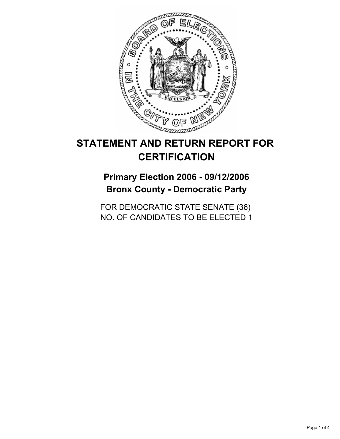

# **STATEMENT AND RETURN REPORT FOR CERTIFICATION**

## **Primary Election 2006 - 09/12/2006 Bronx County - Democratic Party**

FOR DEMOCRATIC STATE SENATE (36) NO. OF CANDIDATES TO BE ELECTED 1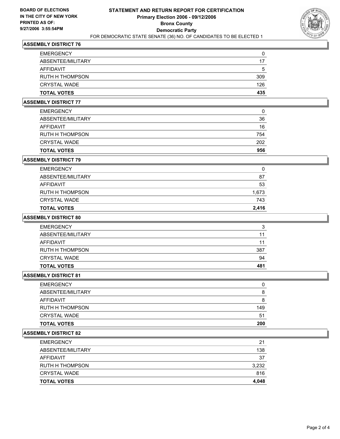

## **ASSEMBLY DISTRICT 76**

| <b>TOTAL VOTES</b>     | 435 |
|------------------------|-----|
| <b>CRYSTAL WADE</b>    | 126 |
| <b>RUTH H THOMPSON</b> | 309 |
| AFFIDAVIT              | b   |
| ABSENTEE/MILITARY      | 17  |
| <b>EMERGENCY</b>       | 0   |

## **ASSEMBLY DISTRICT 77**

| <b>TOTAL VOTES</b>     | 956 |
|------------------------|-----|
| <b>CRYSTAL WADE</b>    | 202 |
| <b>RUTH H THOMPSON</b> | 754 |
| AFFIDAVIT              | 16  |
| ABSENTEE/MILITARY      | 36  |
| <b>EMERGENCY</b>       | 0   |

#### **ASSEMBLY DISTRICT 79**

| <b>EMERGENCY</b>       | O     |
|------------------------|-------|
| ABSENTEE/MILITARY      | 87    |
| AFFIDAVIT              | 53    |
| <b>RUTH H THOMPSON</b> | 1,673 |
| <b>CRYSTAL WADE</b>    | 743   |
| <b>TOTAL VOTES</b>     | 2,416 |

#### **ASSEMBLY DISTRICT 80**

| <b>EMERGENCY</b>       |     |
|------------------------|-----|
| ABSENTEE/MILITARY      | 11  |
| AFFIDAVIT              | 11  |
| <b>RUTH H THOMPSON</b> | 387 |
| <b>CRYSTAL WADE</b>    | 94  |
| <b>TOTAL VOTES</b>     | 481 |

#### **ASSEMBLY DISTRICT 81**

| <b>EMERGENCY</b>   | 0   |
|--------------------|-----|
| ABSENTEE/MILITARY  | 8   |
| AFFIDAVIT          | 8   |
| RUTH H THOMPSON    | 149 |
| CRYSTAL WADE       | 51  |
| <b>TOTAL VOTES</b> | 200 |

#### **ASSEMBLY DISTRICT 82**

| <b>EMERGENCY</b>    | 21    |
|---------------------|-------|
| ABSENTEE/MILITARY   | 138   |
| AFFIDAVIT           | 37    |
| RUTH H THOMPSON     | 3,232 |
| <b>CRYSTAL WADE</b> | 816   |
| <b>TOTAL VOTES</b>  | 4,048 |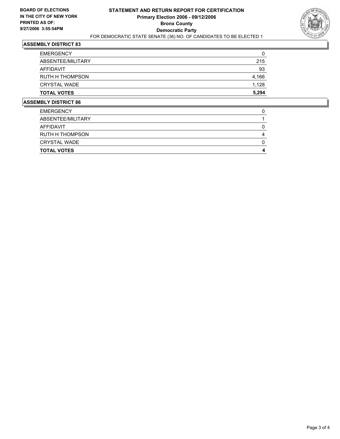

## **ASSEMBLY DISTRICT 83**

| <b>ASSEMBLY DISTRICT 86</b> |       |
|-----------------------------|-------|
| <b>TOTAL VOTES</b>          | 5,294 |
| <b>CRYSTAL WADE</b>         | 1,128 |
| <b>RUTH H THOMPSON</b>      | 4,166 |
| AFFIDAVIT                   | 93    |
| ABSENTEE/MILITARY           | 215   |
| <b>EMERGENCY</b>            | 0     |

| <b>TOTAL VOTES</b>     |  |
|------------------------|--|
| <b>CRYSTAL WADE</b>    |  |
| <b>RUTH H THOMPSON</b> |  |
| AFFIDAVIT              |  |
| ABSENTEE/MILITARY      |  |
| <b>EMERGENCY</b>       |  |